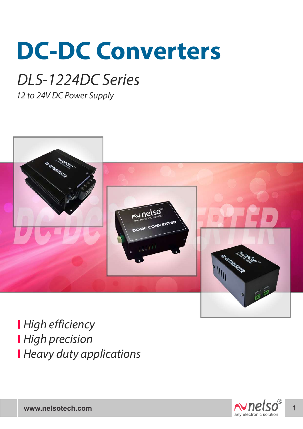# **DC-DC Converters**

## *DLS-1224DC Series*

*12 to 24V DC Power Supply*



*High efficiency High precision Heavy duty applications*

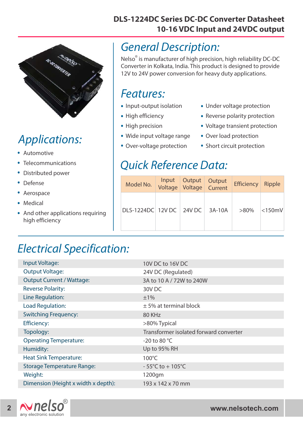

### *Applications:*

- . Automotive
- . Telecommunications
- . Distributed power
- . Defense
- . Aerospace
- Aerospa<br>• Medical
- . And other applications requiring high efficiency

## **10-16 VDC Input and 24VDC output**

#### *General Description:*

Nelso<sup>®</sup> is manufacturer of high precision, high reliability DC-DC Converter in Kolkata, India. This product is designed to provide 12V to 24V power conversion for heavy duty applications.

**DLS-1224DC Series DC-DC Converter Datasheet**

#### *Features:*

- I CULUICS.<br>• Input-output isolation
- Input-output is<br>• High efficiency
- High efficiency<br>• High precision
- High precision<br>• Wide input voltage range
- Wide input voltage rang<br>• Over-voltage protection
- Under voltage protection .
- Under voltage protection<br>• Reverse polarity protection
- Reverse polarity protection<br>• Voltage transient protection
- Voltage transient pro<br>• Over load protection
- Over load protection<br>• Short circuit protection

#### *Quick Reference Data:*

| Model No.                | Input | Output<br>Voltage Voltage Current | Output | <b>Efficiency</b> | Ripple    |
|--------------------------|-------|-----------------------------------|--------|-------------------|-----------|
| DLS-1224DC 12V DC 24V DC |       |                                   | 3A-10A | $>80\%$           | $<$ 150mV |

#### *Electrical Specification:*

| Input Voltage:                      | 10V DC to 16V DC                       |  |  |
|-------------------------------------|----------------------------------------|--|--|
| <b>Output Voltage:</b>              | 24V DC (Regulated)                     |  |  |
| <b>Output Current / Wattage:</b>    | 3A to 10 A / 72W to 240W               |  |  |
| <b>Reverse Polarity:</b>            | 30V <sub>DC</sub>                      |  |  |
| Line Regulation:                    | ±1%                                    |  |  |
| <b>Load Regulation:</b>             | $±$ 5% at terminal block               |  |  |
| <b>Switching Frequency:</b>         | 80 KHz                                 |  |  |
| <b>Efficiency:</b>                  | >80% Typical                           |  |  |
| Topology:                           | Transformer isolated forward converter |  |  |
| <b>Operating Temperature:</b>       | -20 to 80 $^{\circ}$ C                 |  |  |
| Humidity:                           | Up to 95% RH                           |  |  |
| <b>Heat Sink Temperature:</b>       | $100^{\circ}$ C                        |  |  |
| <b>Storage Temperature Range:</b>   | $-55^{\circ}$ C to + 105 $^{\circ}$ C  |  |  |
| Weight:                             | 1200gm                                 |  |  |
| Dimension (Height x width x depth): | 193 x 142 x 70 mm                      |  |  |